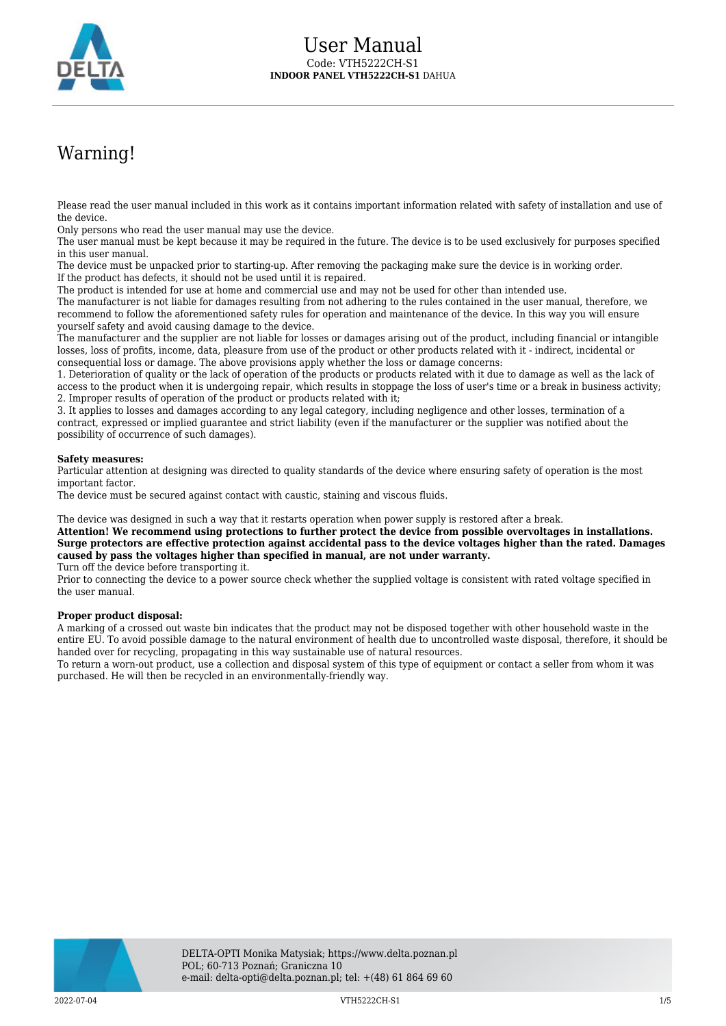

# Warning!

Please read the user manual included in this work as it contains important information related with safety of installation and use of the device.

Only persons who read the user manual may use the device.

The user manual must be kept because it may be required in the future. The device is to be used exclusively for purposes specified in this user manual.

The device must be unpacked prior to starting-up. After removing the packaging make sure the device is in working order. If the product has defects, it should not be used until it is repaired.

The product is intended for use at home and commercial use and may not be used for other than intended use.

The manufacturer is not liable for damages resulting from not adhering to the rules contained in the user manual, therefore, we recommend to follow the aforementioned safety rules for operation and maintenance of the device. In this way you will ensure yourself safety and avoid causing damage to the device.

The manufacturer and the supplier are not liable for losses or damages arising out of the product, including financial or intangible losses, loss of profits, income, data, pleasure from use of the product or other products related with it - indirect, incidental or consequential loss or damage. The above provisions apply whether the loss or damage concerns:

1. Deterioration of quality or the lack of operation of the products or products related with it due to damage as well as the lack of access to the product when it is undergoing repair, which results in stoppage the loss of user's time or a break in business activity; 2. Improper results of operation of the product or products related with it;

3. It applies to losses and damages according to any legal category, including negligence and other losses, termination of a contract, expressed or implied guarantee and strict liability (even if the manufacturer or the supplier was notified about the possibility of occurrence of such damages).

#### **Safety measures:**

Particular attention at designing was directed to quality standards of the device where ensuring safety of operation is the most important factor.

The device must be secured against contact with caustic, staining and viscous fluids.

The device was designed in such a way that it restarts operation when power supply is restored after a break.

**Attention! We recommend using protections to further protect the device from possible overvoltages in installations. Surge protectors are effective protection against accidental pass to the device voltages higher than the rated. Damages caused by pass the voltages higher than specified in manual, are not under warranty.**

Turn off the device before transporting it.

Prior to connecting the device to a power source check whether the supplied voltage is consistent with rated voltage specified in the user manual.

#### **Proper product disposal:**

A marking of a crossed out waste bin indicates that the product may not be disposed together with other household waste in the entire EU. To avoid possible damage to the natural environment of health due to uncontrolled waste disposal, therefore, it should be handed over for recycling, propagating in this way sustainable use of natural resources.

To return a worn-out product, use a collection and disposal system of this type of equipment or contact a seller from whom it was purchased. He will then be recycled in an environmentally-friendly way.

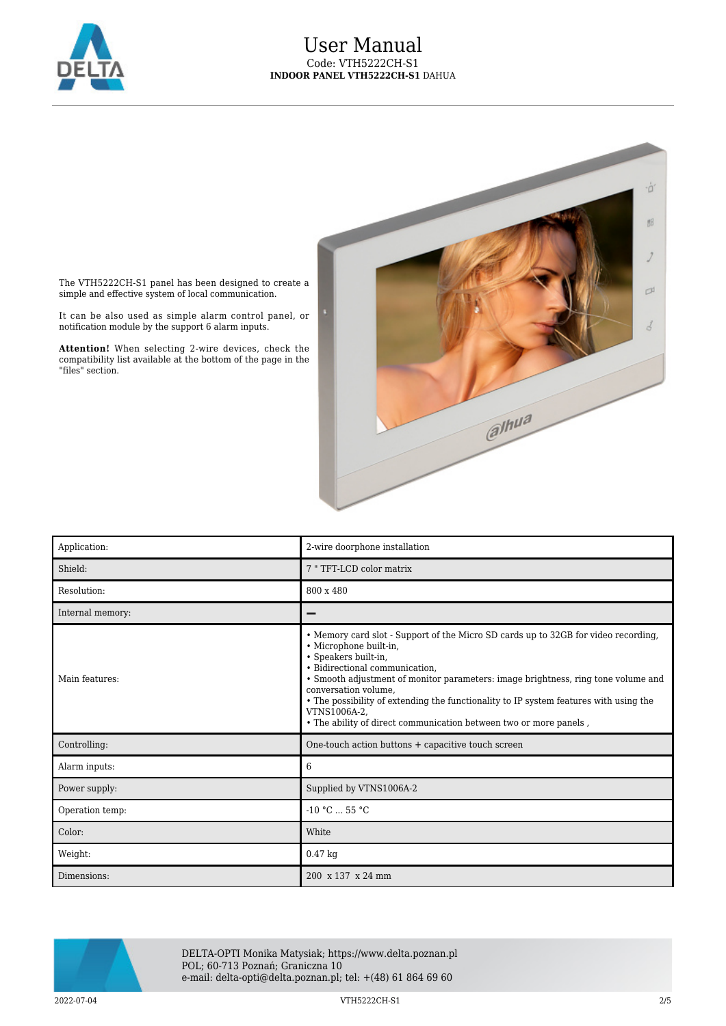

### User Manual Code: VTH5222CH-S1 **INDOOR PANEL VTH5222CH-S1** DAHUA



The VTH5222CH-S1 panel has been designed to create a simple and effective system of local communication.

It can be also used as simple alarm control panel, or notification module by the support 6 alarm inputs.

**Attention!** When selecting 2-wire devices, check the compatibility list available at the bottom of the page in the "files" section.

| Application:     | 2-wire doorphone installation                                                                                                                                                                                                                                                                                                                                                                                                                                     |
|------------------|-------------------------------------------------------------------------------------------------------------------------------------------------------------------------------------------------------------------------------------------------------------------------------------------------------------------------------------------------------------------------------------------------------------------------------------------------------------------|
| Shield:          | 7 "TFT-LCD color matrix                                                                                                                                                                                                                                                                                                                                                                                                                                           |
| Resolution:      | 800 x 480                                                                                                                                                                                                                                                                                                                                                                                                                                                         |
| Internal memory: |                                                                                                                                                                                                                                                                                                                                                                                                                                                                   |
| Main features:   | • Memory card slot - Support of the Micro SD cards up to 32GB for video recording,<br>· Microphone built-in,<br>• Speakers built-in,<br>• Bidirectional communication.<br>• Smooth adjustment of monitor parameters: image brightness, ring tone volume and<br>conversation volume,<br>• The possibility of extending the functionality to IP system features with using the<br>VTNS1006A-2.<br>. The ability of direct communication between two or more panels, |
| Controlling:     | One-touch action buttons + capacitive touch screen                                                                                                                                                                                                                                                                                                                                                                                                                |
| Alarm inputs:    | 6                                                                                                                                                                                                                                                                                                                                                                                                                                                                 |
| Power supply:    | Supplied by VTNS1006A-2                                                                                                                                                                                                                                                                                                                                                                                                                                           |
| Operation temp:  | $-10 °C$ 55 °C                                                                                                                                                                                                                                                                                                                                                                                                                                                    |
| Color:           | White                                                                                                                                                                                                                                                                                                                                                                                                                                                             |
| Weight:          | $0.47$ kg                                                                                                                                                                                                                                                                                                                                                                                                                                                         |
| Dimensions:      | 200 x 137 x 24 mm                                                                                                                                                                                                                                                                                                                                                                                                                                                 |



DELTA-OPTI Monika Matysiak; https://www.delta.poznan.pl POL; 60-713 Poznań; Graniczna 10 e-mail: delta-opti@delta.poznan.pl; tel: +(48) 61 864 69 60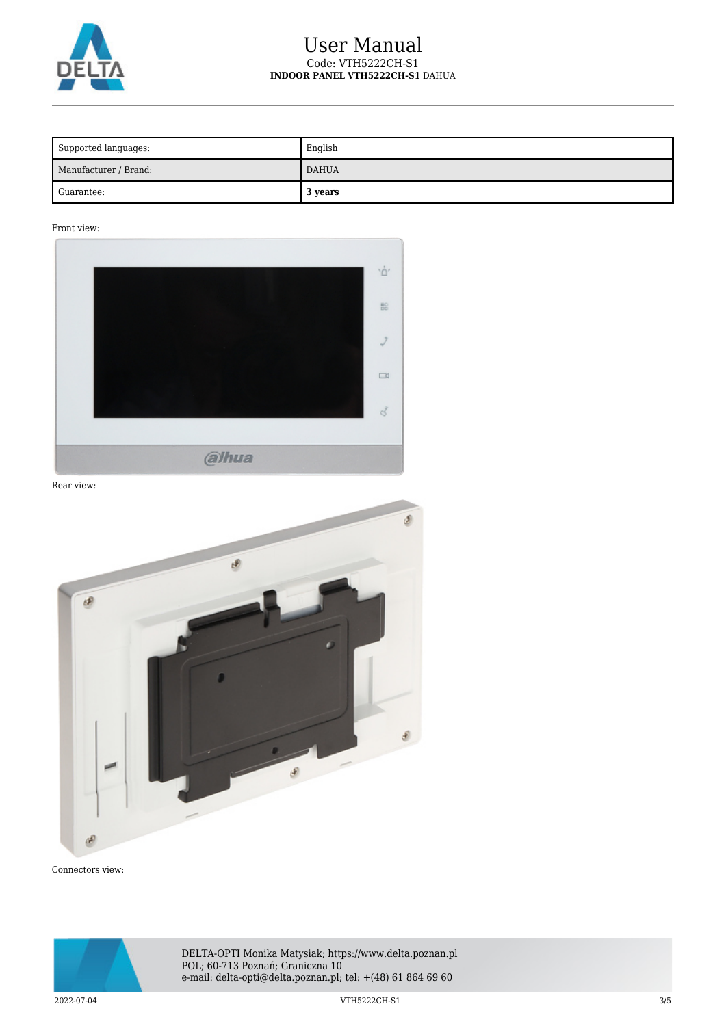

## User Manual Code: VTH5222CH-S1 **INDOOR PANEL VTH5222CH-S1** DAHUA

| Supported languages:  | English      |
|-----------------------|--------------|
| Manufacturer / Brand: | <b>DAHUA</b> |
| Guarantee:            | 3 years      |

Front view:



Rear view:



Connectors view:



DELTA-OPTI Monika Matysiak; https://www.delta.poznan.pl POL; 60-713 Poznań; Graniczna 10 e-mail: delta-opti@delta.poznan.pl; tel: +(48) 61 864 69 60

2022-07-04 VTH5222CH-S1 3/5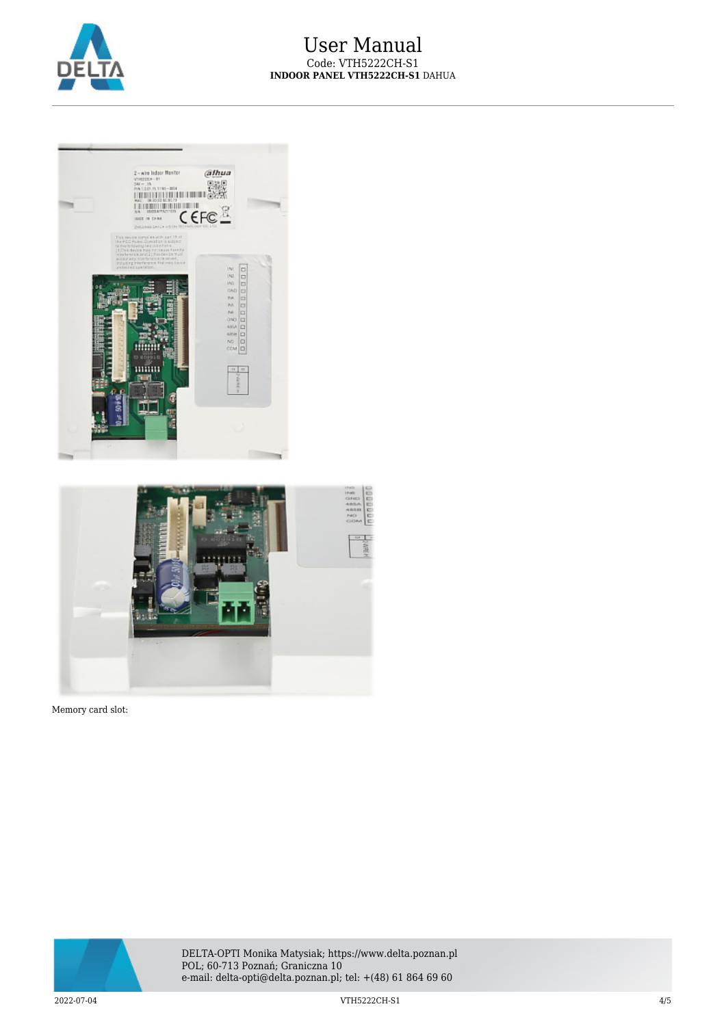



Memory card slot:



DELTA-OPTI Monika Matysiak; https://www.delta.poznan.pl POL; 60-713 Poznań; Graniczna 10 e-mail: delta-opti@delta.poznan.pl; tel: +(48) 61 864 69 60

2022-07-04 VTH5222CH-S1 4/5